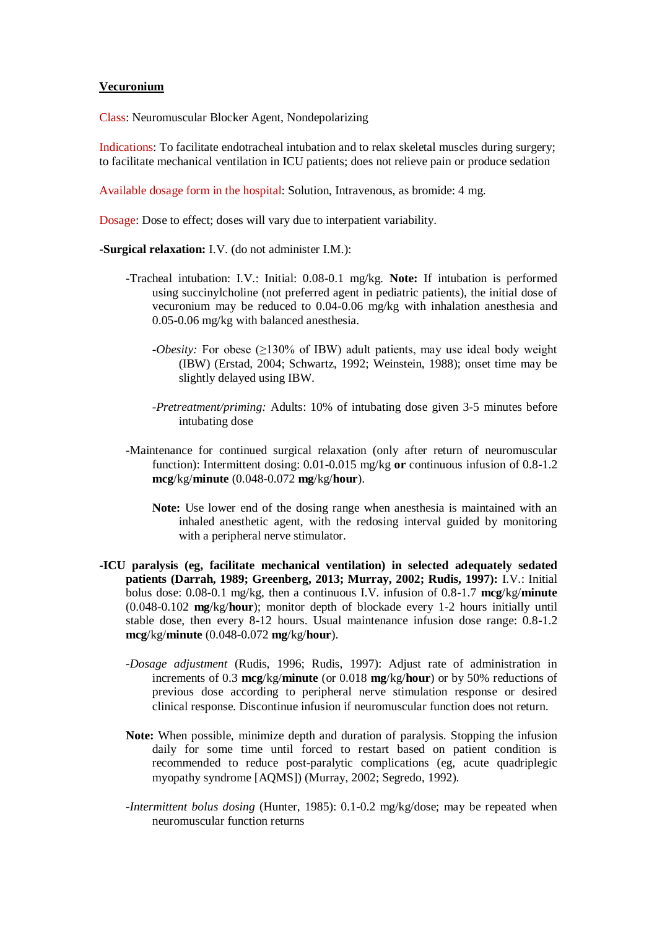## **Vecuronium**

Class: Neuromuscular Blocker Agent, Nondepolarizing

Indications: To facilitate endotracheal intubation and to relax skeletal muscles during surgery; to facilitate mechanical ventilation in ICU patients; does not relieve pain or produce sedation

Available dosage form in the hospital: Solution, Intravenous, as bromide: 4 mg.

Dosage: Dose to effect; doses will vary due to interpatient variability.

**-Surgical relaxation:** I.V. (do not administer I.M.):

- -Tracheal intubation: I.V.: Initial: 0.08-0.1 mg/kg. **Note:** If intubation is performed using succinylcholine (not preferred agent in pediatric patients), the initial dose of vecuronium may be reduced to 0.04-0.06 mg/kg with inhalation anesthesia and 0.05-0.06 mg/kg with balanced anesthesia.
	- *-Obesity:* For obese (≥130% of IBW) adult patients, may use ideal body weight (IBW) (Erstad, 2004; Schwartz, 1992; Weinstein, 1988); onset time may be slightly delayed using IBW.
	- *-Pretreatment/priming:* Adults: 10% of intubating dose given 3-5 minutes before intubating dose
- -Maintenance for continued surgical relaxation (only after return of neuromuscular function): Intermittent dosing: 0.01-0.015 mg/kg **or** continuous infusion of 0.8-1.2 **mcg**/kg/**minute** (0.048-0.072 **mg**/kg/**hour**).
	- **Note:** Use lower end of the dosing range when anesthesia is maintained with an inhaled anesthetic agent, with the redosing interval guided by monitoring with a peripheral nerve stimulator.
- **-ICU paralysis (eg, facilitate mechanical ventilation) in selected adequately sedated patients (Darrah, 1989; Greenberg, 2013; Murray, 2002; Rudis, 1997):** I.V.: Initial bolus dose: 0.08-0.1 mg/kg, then a continuous I.V. infusion of 0.8-1.7 **mcg**/kg/**minute** (0.048-0.102 **mg**/kg/**hour**); monitor depth of blockade every 1-2 hours initially until stable dose, then every 8-12 hours. Usual maintenance infusion dose range: 0.8-1.2 **mcg**/kg/**minute** (0.048-0.072 **mg**/kg/**hour**).
	- *-Dosage adjustment* (Rudis, 1996; Rudis, 1997): Adjust rate of administration in increments of 0.3 **mcg**/kg/**minute** (or 0.018 **mg**/kg/**hour**) or by 50% reductions of previous dose according to peripheral nerve stimulation response or desired clinical response. Discontinue infusion if neuromuscular function does not return.
	- **Note:** When possible, minimize depth and duration of paralysis. Stopping the infusion daily for some time until forced to restart based on patient condition is recommended to reduce post-paralytic complications (eg, acute quadriplegic myopathy syndrome [AQMS]) (Murray, 2002; Segredo, 1992).
	- *-Intermittent bolus dosing* (Hunter, 1985): 0.1-0.2 mg/kg/dose; may be repeated when neuromuscular function returns